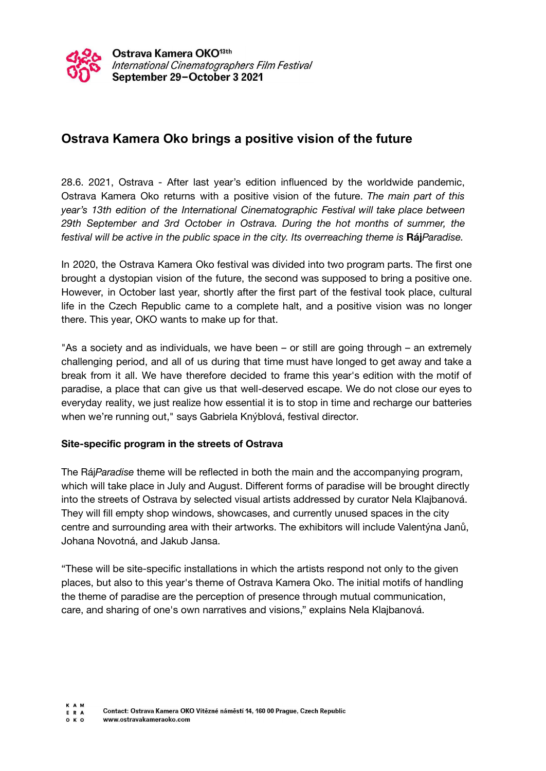

## **Ostrava Kamera Oko brings a positive vision of the future**

28.6. 2021, Ostrava - After last year's edition influenced by the worldwide pandemic, Ostrava Kamera Oko returns with a positive vision of the future. *The main part of this year's 13th edition of the International Cinematographic Festival will take place between 29th September and 3rd October in Ostrava. During the hot months of summer, the festival will be active in the public space in the city. Its overreaching theme is* **Ráj***Paradise.*

In 2020, the Ostrava Kamera Oko festival was divided into two program parts. The first one brought a dystopian vision of the future, the second was supposed to bring a positive one. However, in October last year, shortly after the first part of the festival took place, cultural life in the Czech Republic came to a complete halt, and a positive vision was no longer there. This year, OKO wants to make up for that.

"As a society and as individuals, we have been – or still are going through – an extremely challenging period, and all of us during that time must have longed to get away and take a break from it all. We have therefore decided to frame this year's edition with the motif of paradise, a place that can give us that well-deserved escape. We do not close our eyes to everyday reality, we just realize how essential it is to stop in time and recharge our batteries when we're running out," says Gabriela Knýblová, festival director.

## **Site-specific program in the streets of Ostrava**

The Ráj*Paradise* theme will be reflected in both the main and the accompanying program, which will take place in July and August. Different forms of paradise will be brought directly into the streets of Ostrava by selected visual artists addressed by curator Nela Klajbanová. They will fill empty shop windows, showcases, and currently unused spaces in the city centre and surrounding area with their artworks. The exhibitors will include Valentýna Janů, Johana Novotná, and Jakub Jansa.

"These will be site-specific installations in which the artists respond not only to the given places, but also to this year's theme of Ostrava Kamera Oko. The initial motifs of handling the theme of paradise are the perception of presence through mutual communication, care, and sharing of one's own narratives and visions," explains Nela Klajbanová.